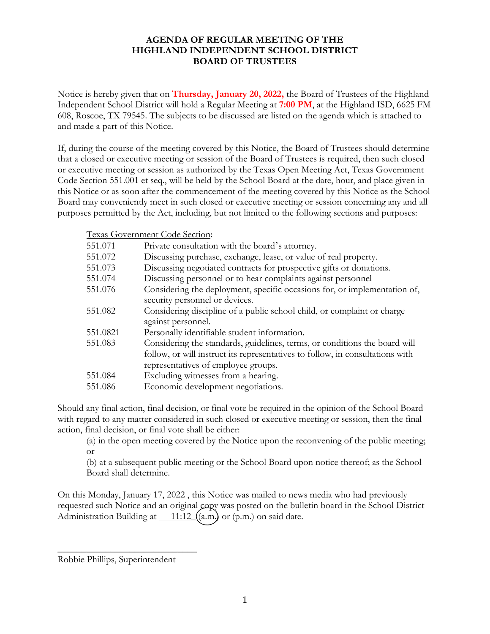## **AGENDA OF REGULAR MEETING OF THE HIGHLAND INDEPENDENT SCHOOL DISTRICT BOARD OF TRUSTEES**

Notice is hereby given that on **Thursday, January 20, 2022,** the Board of Trustees of the Highland Independent School District will hold a Regular Meeting at **7:00 PM**, at the Highland ISD, 6625 FM 608, Roscoe, TX 79545. The subjects to be discussed are listed on the agenda which is attached to and made a part of this Notice.

If, during the course of the meeting covered by this Notice, the Board of Trustees should determine that a closed or executive meeting or session of the Board of Trustees is required, then such closed or executive meeting or session as authorized by the Texas Open Meeting Act, Texas Government Code Section 551.001 et seq., will be held by the School Board at the date, hour, and place given in this Notice or as soon after the commencement of the meeting covered by this Notice as the School Board may conveniently meet in such closed or executive meeting or session concerning any and all purposes permitted by the Act, including, but not limited to the following sections and purposes:

Texas Government Code Section:

| 551.071  | Private consultation with the board's attorney.                                                                                                                                                    |
|----------|----------------------------------------------------------------------------------------------------------------------------------------------------------------------------------------------------|
| 551.072  | Discussing purchase, exchange, lease, or value of real property.                                                                                                                                   |
| 551.073  | Discussing negotiated contracts for prospective gifts or donations.                                                                                                                                |
| 551.074  | Discussing personnel or to hear complaints against personnel                                                                                                                                       |
| 551.076  | Considering the deployment, specific occasions for, or implementation of,<br>security personnel or devices.                                                                                        |
| 551.082  | Considering discipline of a public school child, or complaint or charge<br>against personnel.                                                                                                      |
| 551.0821 | Personally identifiable student information.                                                                                                                                                       |
| 551.083  | Considering the standards, guidelines, terms, or conditions the board will<br>follow, or will instruct its representatives to follow, in consultations with<br>representatives of employee groups. |
| 551.084  | Excluding witnesses from a hearing.                                                                                                                                                                |
| 551.086  | Economic development negotiations.                                                                                                                                                                 |

Should any final action, final decision, or final vote be required in the opinion of the School Board with regard to any matter considered in such closed or executive meeting or session, then the final action, final decision, or final vote shall be either:

(a) in the open meeting covered by the Notice upon the reconvening of the public meeting; or

(b) at a subsequent public meeting or the School Board upon notice thereof; as the School Board shall determine.

On this Monday, January 17, 2022 , this Notice was mailed to news media who had previously requested such Notice and an original copy was posted on the bulletin board in the School District Administration Building at  $\underline{\hspace{1cm} 11:12 \hspace{1cm}} (a.m.)$  or (p.m.) on said date.

 $\overline{\phantom{a}}$  , where  $\overline{\phantom{a}}$  , where  $\overline{\phantom{a}}$  , where  $\overline{\phantom{a}}$ 

Robbie Phillips, Superintendent